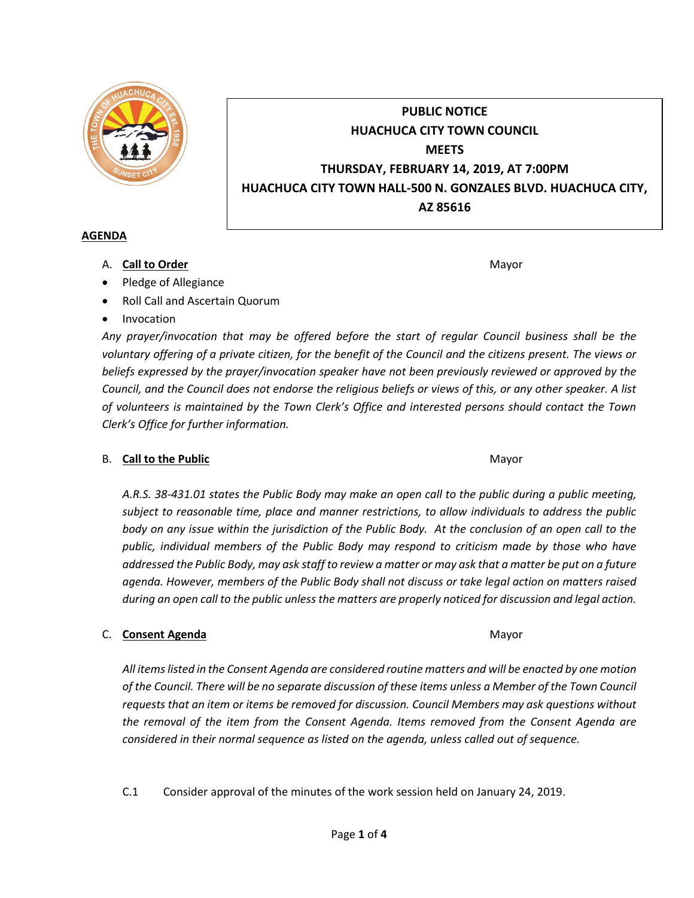

# **PUBLIC NOTICE HUACHUCA CITY TOWN COUNCIL MEETS THURSDAY, FEBRUARY 14, 2019, AT 7:00PM HUACHUCA CITY TOWN HALL-500 N. GONZALES BLVD. HUACHUCA CITY, AZ 85616**

### **AGENDA**

A. **Call to Order** Mayor **Mayor** Mayor **Mayor** Mayor **Mayor** 

- Pledge of Allegiance
- Roll Call and Ascertain Quorum
- Invocation

*Any prayer/invocation that may be offered before the start of regular Council business shall be the voluntary offering of a private citizen, for the benefit of the Council and the citizens present. The views or beliefs expressed by the prayer/invocation speaker have not been previously reviewed or approved by the Council, and the Council does not endorse the religious beliefs or views of this, or any other speaker. A list of volunteers is maintained by the Town Clerk's Office and interested persons should contact the Town Clerk's Office for further information.*

# B. **Call to the Public** Mayor **Mayor** Mayor **Mayor** Mayor

*A.R.S. 38-431.01 states the Public Body may make an open call to the public during a public meeting, subject to reasonable time, place and manner restrictions, to allow individuals to address the public body on any issue within the jurisdiction of the Public Body. At the conclusion of an open call to the public, individual members of the Public Body may respond to criticism made by those who have addressed the Public Body, may ask staff to review a matter or may ask that a matter be put on a future agenda. However, members of the Public Body shall not discuss or take legal action on matters raised during an open call to the public unless the matters are properly noticed for discussion and legal action.*

# C. **Consent Agenda** Mayor **C. Consent Agenda** Mayor **Mayor**

*All items listed in the Consent Agenda are considered routine matters and will be enacted by one motion of the Council. There will be no separate discussion of these items unless a Member of the Town Council requests that an item or items be removed for discussion. Council Members may ask questions without the removal of the item from the Consent Agenda. Items removed from the Consent Agenda are considered in their normal sequence as listed on the agenda, unless called out of sequence.*

C.1 Consider approval of the minutes of the work session held on January 24, 2019.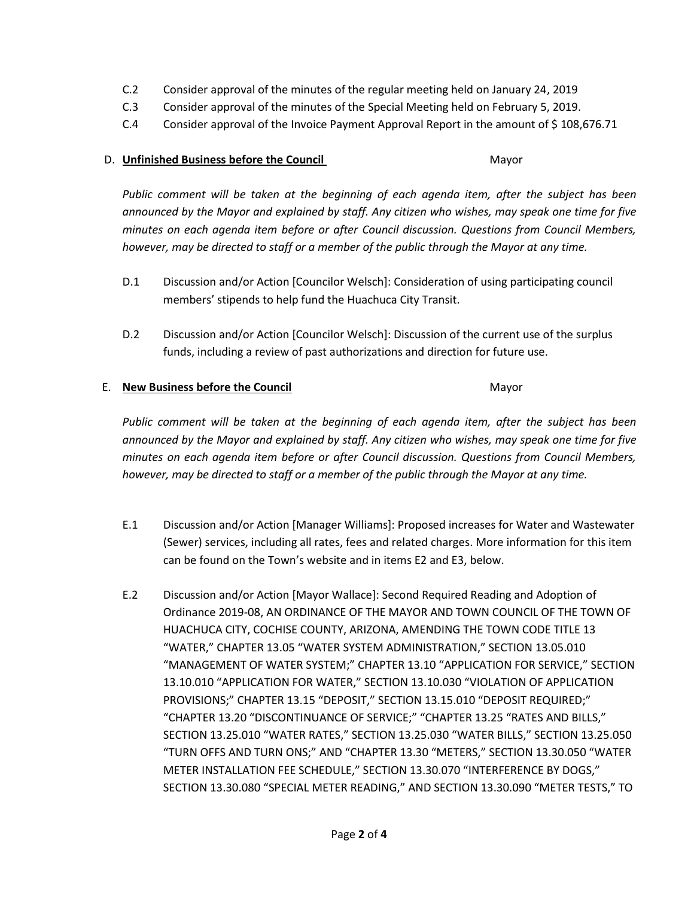- C.2 Consider approval of the minutes of the regular meeting held on January 24, 2019
- C.3 Consider approval of the minutes of the Special Meeting held on February 5, 2019.
- C.4 Consider approval of the Invoice Payment Approval Report in the amount of \$108,676.71

#### D. **Unfinished Business before the Council** Mayor

*Public comment will be taken at the beginning of each agenda item, after the subject has been announced by the Mayor and explained by staff. Any citizen who wishes, may speak one time for five minutes on each agenda item before or after Council discussion. Questions from Council Members, however, may be directed to staff or a member of the public through the Mayor at any time.*

- D.1 Discussion and/or Action [Councilor Welsch]: Consideration of using participating council members' stipends to help fund the Huachuca City Transit.
- D.2 Discussion and/or Action [Councilor Welsch]: Discussion of the current use of the surplus funds, including a review of past authorizations and direction for future use.

### E. **New Business before the Council** Mayor

*Public comment will be taken at the beginning of each agenda item, after the subject has been announced by the Mayor and explained by staff. Any citizen who wishes, may speak one time for five minutes on each agenda item before or after Council discussion. Questions from Council Members, however, may be directed to staff or a member of the public through the Mayor at any time.*

- E.1 Discussion and/or Action [Manager Williams]: Proposed increases for Water and Wastewater (Sewer) services, including all rates, fees and related charges. More information for this item can be found on the Town's website and in items E2 and E3, below.
- E.2 Discussion and/or Action [Mayor Wallace]: Second Required Reading and Adoption of Ordinance 2019-08, AN ORDINANCE OF THE MAYOR AND TOWN COUNCIL OF THE TOWN OF HUACHUCA CITY, COCHISE COUNTY, ARIZONA, AMENDING THE TOWN CODE TITLE 13 "WATER," CHAPTER 13.05 "WATER SYSTEM ADMINISTRATION," SECTION 13.05.010 "MANAGEMENT OF WATER SYSTEM;" CHAPTER 13.10 "APPLICATION FOR SERVICE," SECTION 13.10.010 "APPLICATION FOR WATER," SECTION 13.10.030 "VIOLATION OF APPLICATION PROVISIONS;" CHAPTER 13.15 "DEPOSIT," SECTION 13.15.010 "DEPOSIT REQUIRED;" "CHAPTER 13.20 "DISCONTINUANCE OF SERVICE;" "CHAPTER 13.25 "RATES AND BILLS," SECTION 13.25.010 "WATER RATES," SECTION 13.25.030 "WATER BILLS," SECTION 13.25.050 "TURN OFFS AND TURN ONS;" AND "CHAPTER 13.30 "METERS," SECTION 13.30.050 "WATER METER INSTALLATION FEE SCHEDULE," SECTION 13.30.070 "INTERFERENCE BY DOGS," SECTION 13.30.080 "SPECIAL METER READING," AND SECTION 13.30.090 "METER TESTS," TO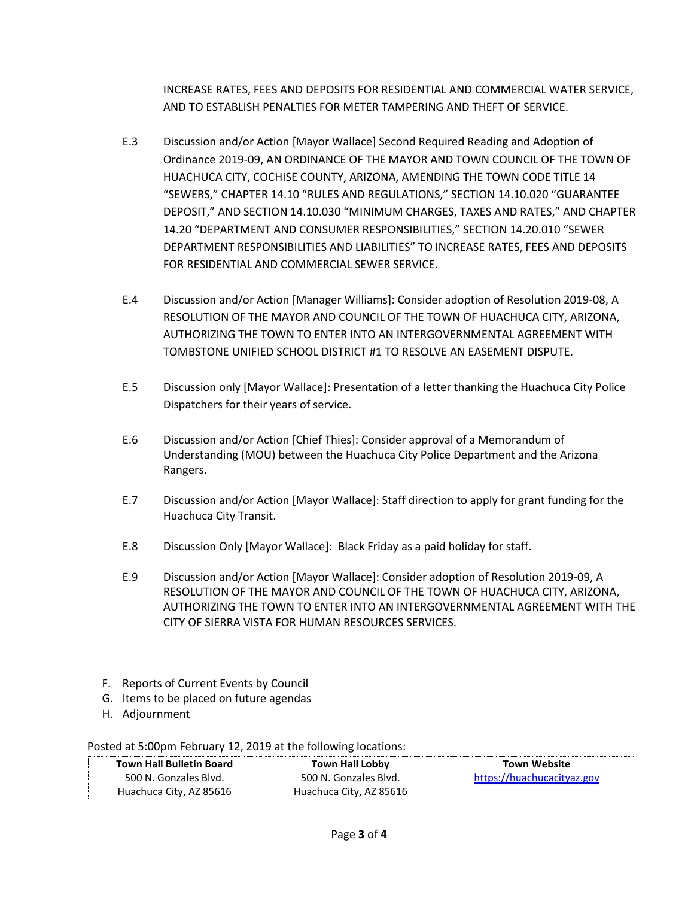INCREASE RATES, FEES AND DEPOSITS FOR RESIDENTIAL AND COMMERCIAL WATER SERVICE, AND TO ESTABLISH PENALTIES FOR METER TAMPERING AND THEFT OF SERVICE.

- E.3 Discussion and/or Action [Mayor Wallace] Second Required Reading and Adoption of Ordinance 2019-09, AN ORDINANCE OF THE MAYOR AND TOWN COUNCIL OF THE TOWN OF HUACHUCA CITY, COCHISE COUNTY, ARIZONA, AMENDING THE TOWN CODE TITLE 14 "SEWERS," CHAPTER 14.10 "RULES AND REGULATIONS," SECTION 14.10.020 "GUARANTEE DEPOSIT," AND SECTION 14.10.030 "MINIMUM CHARGES, TAXES AND RATES," AND CHAPTER 14.20 "DEPARTMENT AND CONSUMER RESPONSIBILITIES," SECTION 14.20.010 "SEWER DEPARTMENT RESPONSIBILITIES AND LIABILITIES" TO INCREASE RATES, FEES AND DEPOSITS FOR RESIDENTIAL AND COMMERCIAL SEWER SERVICE.
- E.4 Discussion and/or Action [Manager Williams]: Consider adoption of Resolution 2019-08, A RESOLUTION OF THE MAYOR AND COUNCIL OF THE TOWN OF HUACHUCA CITY, ARIZONA, AUTHORIZING THE TOWN TO ENTER INTO AN INTERGOVERNMENTAL AGREEMENT WITH TOMBSTONE UNIFIED SCHOOL DISTRICT #1 TO RESOLVE AN EASEMENT DISPUTE.
- E.5 Discussion only [Mayor Wallace]: Presentation of a letter thanking the Huachuca City Police Dispatchers for their years of service.
- E.6 Discussion and/or Action [Chief Thies]: Consider approval of a Memorandum of Understanding (MOU) between the Huachuca City Police Department and the Arizona Rangers.
- E.7 Discussion and/or Action [Mayor Wallace]: Staff direction to apply for grant funding for the Huachuca City Transit.
- E.8 Discussion Only [Mayor Wallace]: Black Friday as a paid holiday for staff.
- E.9 Discussion and/or Action [Mayor Wallace]: Consider adoption of Resolution 2019-09, A RESOLUTION OF THE MAYOR AND COUNCIL OF THE TOWN OF HUACHUCA CITY, ARIZONA, AUTHORIZING THE TOWN TO ENTER INTO AN INTERGOVERNMENTAL AGREEMENT WITH THE CITY OF SIERRA VISTA FOR HUMAN RESOURCES SERVICES.
- F. Reports of Current Events by Council
- G. Items to be placed on future agendas
- H. Adjournment

Posted at 5:00pm February 12, 2019 at the following locations:

| <b>Town Hall Bulletin Board</b> | <b>Town Hall Lobby</b>  | Town Website               |
|---------------------------------|-------------------------|----------------------------|
| 500 N. Gonzales Blyd.           | 500 N. Gonzales Blvd.   | https://huachucacityaz.gov |
| Huachuca City, AZ 85616         | Huachuca City, AZ 85616 |                            |